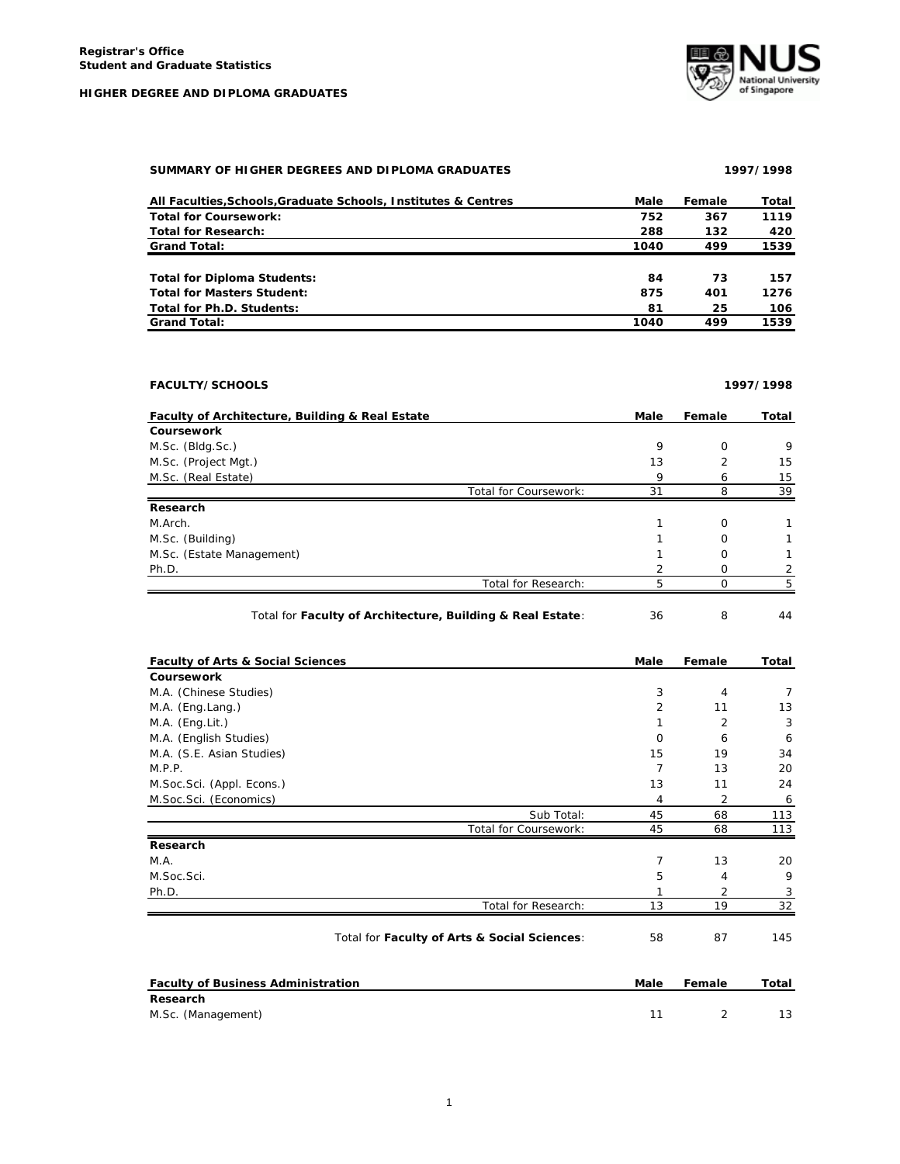**HIGHER DEGREE AND DIPLOMA GRADUATES**



## **SUMMARY OF HIGHER DEGREES AND DIPLOMA GRADUATES 1997/1998**

| All Faculties, Schools, Graduate Schools, Institutes & Centres | Male | Female | Total |
|----------------------------------------------------------------|------|--------|-------|
| <b>Total for Coursework:</b>                                   | 752  | 367    | 1119  |
| <b>Total for Research:</b>                                     | 288  | 132    | 420   |
| <b>Grand Total:</b>                                            | 1040 | 499    | 1539  |
|                                                                |      |        |       |
| <b>Total for Diploma Students:</b>                             | 84   | 73     | 157   |
| <b>Total for Masters Student:</b>                              | 875  | 401    | 1276  |
| Total for Ph.D. Students:                                      | 81   | 25     | 106   |
| <b>Grand Total:</b>                                            | 1040 | 499    | 1539  |

| <b>FACULTY/SCHOOLS</b>                          |                       |      | 1997/1998     |       |  |
|-------------------------------------------------|-----------------------|------|---------------|-------|--|
| Faculty of Architecture, Building & Real Estate |                       | Male | Female        | Total |  |
| Coursework                                      |                       |      |               |       |  |
| M.Sc. (Bldg.Sc.)                                |                       | 9    | $\Omega$      | 9     |  |
| M.Sc. (Project Mgt.)                            |                       | 13   | $\mathcal{P}$ | 15    |  |
| M.Sc. (Real Estate)                             |                       | 9    | 6             | 15    |  |
|                                                 | Total for Coursework: | 31   | 8             | 39    |  |
| Research                                        |                       |      |               |       |  |
| M.Arch.                                         |                       |      | $\Omega$      |       |  |
| M.Sc. (Building)                                |                       |      | O             |       |  |
| M.Sc. (Estate Management)                       |                       |      | Ω             |       |  |
| Ph.D.                                           |                       |      | Ω             |       |  |
|                                                 | Total for Research:   | 5    | C             | 5     |  |

## Total for **Faculty of Architecture, Building & Real Estate**: 36 8 44

| <b>Faculty of Arts &amp; Social Sciences</b> | Male     | Female         | Total          |
|----------------------------------------------|----------|----------------|----------------|
| Coursework                                   |          |                |                |
| M.A. (Chinese Studies)                       | 3        | $\overline{4}$ | 7              |
| M.A. (Eng.Lang.)                             | 2        | 11             | 13             |
| M.A. (Eng.Lit.)                              |          | $\overline{2}$ | 3              |
| M.A. (English Studies)                       | $\Omega$ | 6              | 6              |
| M.A. (S.E. Asian Studies)                    | 15       | 19             | 34             |
| M.P.P.                                       | 7        | 13             | 20             |
| M.Soc.Sci. (Appl. Econs.)                    | 13       | 11             | 24             |
| M.Soc.Sci. (Economics)                       | 4        | 2              | $\overline{6}$ |
| Sub Total:                                   | 45       | 68             | 113            |
| Total for Coursework:                        | 45       | 68             | 113            |
| Research                                     |          |                |                |
| M.A.                                         | 7        | 13             | 20             |
| M.Soc.Sci.                                   | 5        | 4              | 9              |
| Ph.D.                                        |          | 2              | 3              |
| Total for Research:                          | 13       | 19             | 32             |
| Total for Faculty of Arts & Social Sciences: | 58       | 87             | 145            |

| <b>Faculty of Business Administration</b> | Male | Female | Total |
|-------------------------------------------|------|--------|-------|
| Research                                  |      |        |       |
| M.Sc. (Management)                        |      |        |       |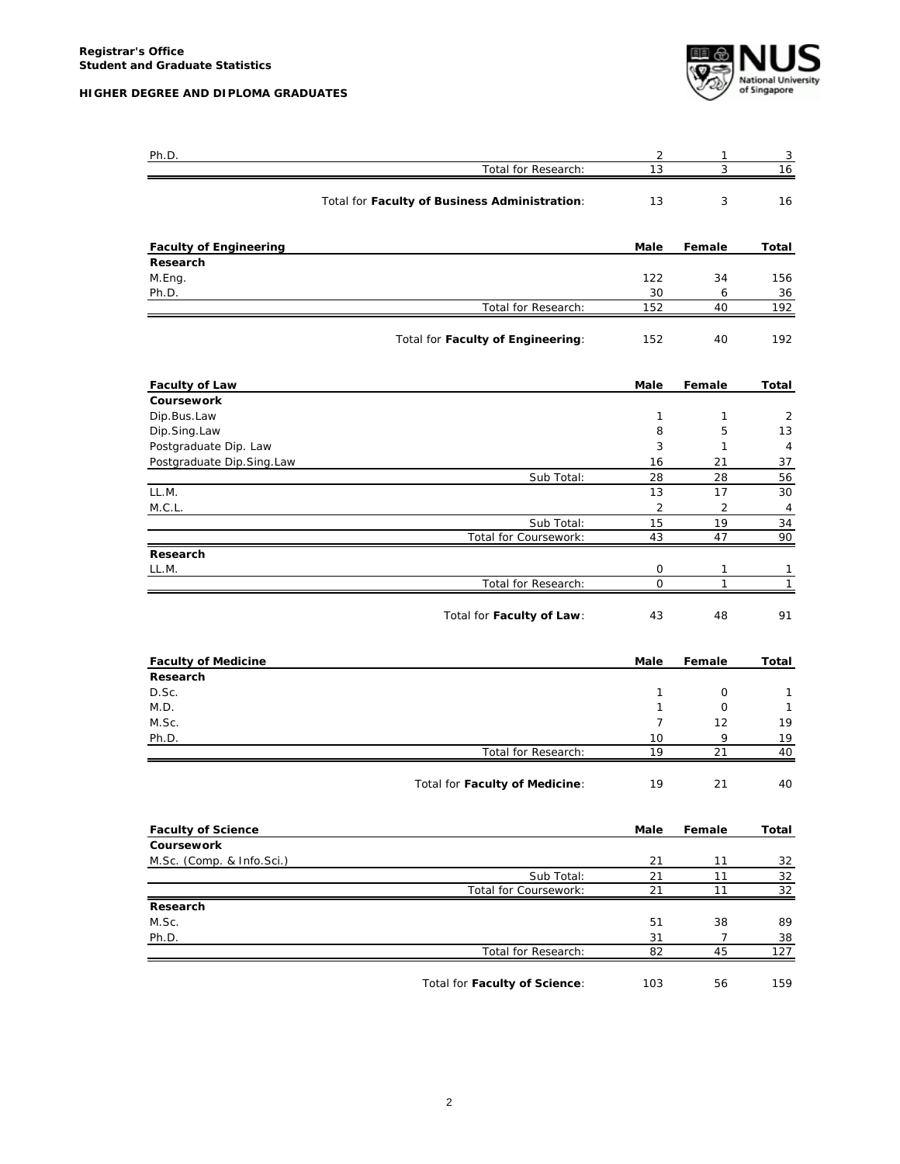**HIGHER DEGREE AND DIPLOMA GRADUATES**



| Ph.D.                         |                                               | 2                   | 1            | $\overline{3}$ |
|-------------------------------|-----------------------------------------------|---------------------|--------------|----------------|
|                               | Total for Research:                           | 13                  | 3            | 16             |
|                               | Total for Faculty of Business Administration: | 13                  | 3            | 16             |
| <b>Faculty of Engineering</b> |                                               | Male                | Female       | Total          |
| Research                      |                                               |                     |              |                |
| M.Eng.                        |                                               | 122                 | 34           | 156            |
| Ph.D.                         | Total for Research:                           | 30<br>152           | 6<br>40      | 36<br>192      |
|                               | Total for Faculty of Engineering:             | 152                 | 40           | 192            |
| <b>Faculty of Law</b>         |                                               | Male                | Female       | Total          |
| Coursework                    |                                               |                     |              |                |
| Dip.Bus.Law                   |                                               | 1                   | $\mathbf{1}$ | 2              |
| Dip.Sing.Law                  |                                               | 8                   | 5            | 13             |
| Postgraduate Dip. Law         |                                               | 3                   | 1            | 4              |
| Postgraduate Dip.Sing.Law     | Sub Total:                                    | 16<br>28            | 21<br>28     | 37<br>56       |
| LL.M.                         |                                               | 13                  | 17           | 30             |
| M.C.L.                        |                                               | $\overline{2}$      | 2            | 4              |
|                               | Sub Total:                                    | 15                  | 19           | 34             |
|                               | Total for Coursework:                         | 43                  | 47           | 90             |
| Research                      |                                               |                     |              |                |
| LL.M.                         |                                               | 0                   | 1            | 1              |
|                               | Total for Research:                           | 0                   | $\mathbf{1}$ | $\mathbf{1}$   |
|                               | Total for Faculty of Law:                     | 43                  | 48           | 91             |
| <b>Faculty of Medicine</b>    |                                               | Male                | Female       | Total          |
| Research                      |                                               |                     |              |                |
| D.Sc.                         |                                               | 1                   | 0            | 1              |
| M.D.<br>M.Sc.                 |                                               | 1<br>$\overline{7}$ | 0<br>12      | 1<br>19        |
| Ph.D.                         |                                               | 10                  | 9            | 19             |
|                               | Total for Research:                           | 19                  | 21           | 40             |
|                               | Total for Faculty of Medicine:                | 19                  | 21           | 40             |
| <b>Faculty of Science</b>     |                                               | Male                | Female       | Total          |
| Coursework                    |                                               |                     |              |                |
| M.Sc. (Comp. & Info.Sci.)     |                                               | 21                  | 11           | 32             |
|                               | Sub_Total:                                    | 21                  | 11           | 32             |
|                               | Total for Coursework:                         | 21                  | 11           | 32             |
| Research<br>M.Sc.             |                                               |                     |              |                |
| Ph.D.                         |                                               | 51<br>31            | 38<br>7      | 89<br>38       |
|                               | Total for Research:                           | 82                  | 45           | 127            |
|                               |                                               |                     |              |                |
|                               | Total for Faculty of Science:                 | 103                 | 56           | 159            |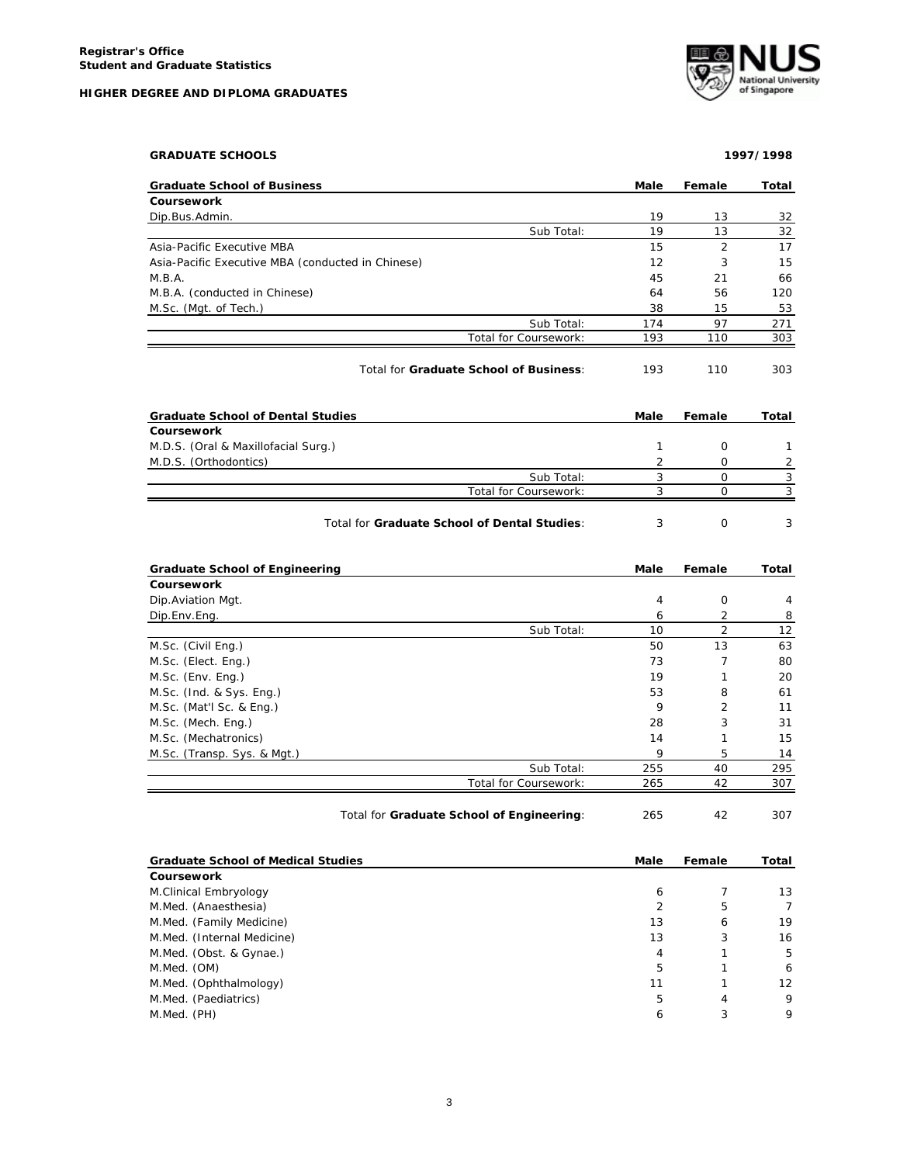|  |  | HIGHER DEGREE AND DIPLOMA GRADUATES |  |
|--|--|-------------------------------------|--|
|  |  |                                     |  |



| <b>GRADUATE SCHOOLS</b>                           |                |                | 1997/1998                                                |
|---------------------------------------------------|----------------|----------------|----------------------------------------------------------|
| <b>Graduate School of Business</b>                | Male           | Female         | Total                                                    |
| Coursework                                        |                |                |                                                          |
| Dip.Bus.Admin.                                    | 19             | 13             | 32                                                       |
| Sub Total:                                        | 19             | 13             | 32                                                       |
| Asia-Pacific Executive MBA                        | 15             | $\overline{2}$ | 17                                                       |
| Asia-Pacific Executive MBA (conducted in Chinese) | 12             | 3              | 15                                                       |
| M.B.A.                                            | 45             | 21             | 66                                                       |
| M.B.A. (conducted in Chinese)                     | 64             | 56             | 120                                                      |
| M.Sc. (Mgt. of Tech.)                             | 38             | 15             | 53                                                       |
| Sub Total:                                        | 174            | 97             | 271                                                      |
| Total for Coursework:                             | 193            | 110            | 303                                                      |
| Total for Graduate School of Business:            | 193            | 110            | 303                                                      |
| <b>Graduate School of Dental Studies</b>          | Male           | Female         | Total                                                    |
| Coursework                                        |                |                |                                                          |
| M.D.S. (Oral & Maxillofacial Surg.)               | $\mathbf{1}$   | 0              | $\mathbf{1}$                                             |
| M.D.S. (Orthodontics)                             | 2              | 0              | $\overline{c}$                                           |
| Sub Total:                                        | 3              | $\mathsf{O}$   | 3                                                        |
| Total for Coursework:                             | 3              | 0              | 3                                                        |
| Total for Graduate School of Dental Studies:      | 3              | $\mathbf 0$    | 3                                                        |
| <b>Graduate School of Engineering</b>             | Male           | Female         | Total                                                    |
| <b>Coursework</b>                                 |                |                |                                                          |
| Dip. Aviation Mgt.                                | $\overline{4}$ | $\mathbf 0$    | $\overline{4}$                                           |
| Dip.Env.Eng.                                      | 6              | $\overline{2}$ | 8                                                        |
| Sub Total:                                        | 10             | $\overline{2}$ | 12                                                       |
| M.Sc. (Civil Eng.)                                | 50             | 13             | 63                                                       |
| M.Sc. (Elect. Eng.)                               | 73             | $\overline{7}$ | 80                                                       |
| M.Sc. (Env. Eng.)                                 | 19             | 1              | 20                                                       |
| M.Sc. (Ind. & Sys. Eng.)                          | 53             | 8              |                                                          |
| M.Sc. (Mat'l Sc. & Eng.)                          | 9              | $\overline{2}$ |                                                          |
| M.Sc. (Mech. Eng.)                                | 28             | 3              |                                                          |
| M.Sc. (Mechatronics)                              |                |                |                                                          |
|                                                   | 14             | 1              |                                                          |
| M.Sc. (Transp. Sys. & Mgt.)                       | 9              | 5              |                                                          |
| Sub Total:                                        | 255            | 40             |                                                          |
| Total for Coursework:                             | 265            | 42             |                                                          |
| Total for Graduate School of Engineering:         | 265            | 42             |                                                          |
| <b>Graduate School of Medical Studies</b>         | Male           | Female         | 61<br>11<br>31<br>15<br>14<br>295<br>307<br>307<br>Total |
| Coursework                                        |                |                |                                                          |
| M.Clinical Embryology                             | 6              | 7              | 13                                                       |
| M.Med. (Anaesthesia)                              | $\overline{2}$ | 5              |                                                          |

| $11.911.0011$ $11.001$ $10.001$ |    |   | . . |
|---------------------------------|----|---|-----|
| M.Med. (Anaesthesia)            |    | b | 7   |
| M.Med. (Family Medicine)        | 13 | 6 | 19  |
| M.Med. (Internal Medicine)      | 13 |   | 16  |
| M.Med. (Obst. & Gynae.)         |    |   | 5   |
| M.Med. (OM)                     |    |   | 6   |
| M.Med. (Ophthalmology)          |    |   | 12  |
| M.Med. (Paediatrics)            |    | 4 | 9   |
| M.Med. (PH)                     |    |   | 9   |